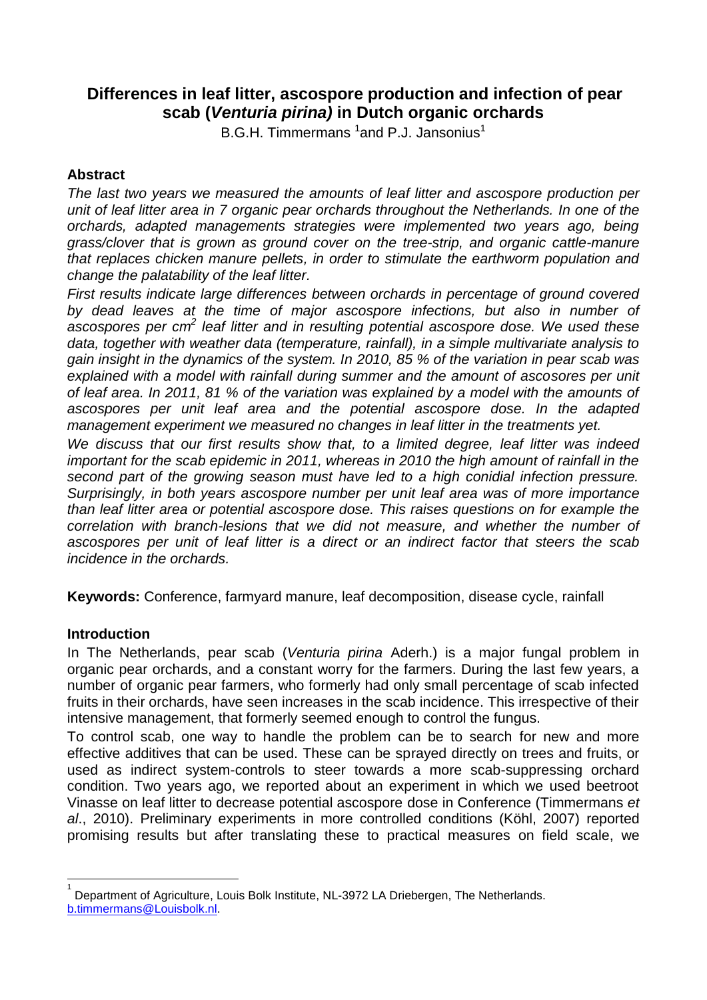# **Differences in leaf litter, ascospore production and infection of pear scab (***Venturia pirina)* **in Dutch organic orchards**

B.G.H. Timmermans <sup>1</sup>and P.J. Jansonius<sup>1</sup>

# **Abstract**

*The last two years we measured the amounts of leaf litter and ascospore production per unit of leaf litter area in 7 organic pear orchards throughout the Netherlands. In one of the orchards, adapted managements strategies were implemented two years ago, being grass/clover that is grown as ground cover on the tree-strip, and organic cattle-manure that replaces chicken manure pellets, in order to stimulate the earthworm population and change the palatability of the leaf litter.*

*First results indicate large differences between orchards in percentage of ground covered by dead leaves at the time of major ascospore infections, but also in number of ascospores per cm<sup>2</sup> leaf litter and in resulting potential ascospore dose. We used these data, together with weather data (temperature, rainfall), in a simple multivariate analysis to gain insight in the dynamics of the system. In 2010, 85 % of the variation in pear scab was explained with a model with rainfall during summer and the amount of ascosores per unit of leaf area. In 2011, 81 % of the variation was explained by a model with the amounts of ascospores per unit leaf area and the potential ascospore dose. In the adapted management experiment we measured no changes in leaf litter in the treatments yet.* 

*We discuss that our first results show that, to a limited degree, leaf litter was indeed important for the scab epidemic in 2011, whereas in 2010 the high amount of rainfall in the second part of the growing season must have led to a high conidial infection pressure. Surprisingly, in both years ascospore number per unit leaf area was of more importance than leaf litter area or potential ascospore dose. This raises questions on for example the correlation with branch-lesions that we did not measure, and whether the number of ascospores per unit of leaf litter is a direct or an indirect factor that steers the scab incidence in the orchards.* 

**Keywords:** Conference, farmyard manure, leaf decomposition, disease cycle, rainfall

# **Introduction**

 $\overline{1}$ 

In The Netherlands, pear scab (*Venturia pirina* Aderh.) is a major fungal problem in organic pear orchards, and a constant worry for the farmers. During the last few years, a number of organic pear farmers, who formerly had only small percentage of scab infected fruits in their orchards, have seen increases in the scab incidence. This irrespective of their intensive management, that formerly seemed enough to control the fungus.

To control scab, one way to handle the problem can be to search for new and more effective additives that can be used. These can be sprayed directly on trees and fruits, or used as indirect system-controls to steer towards a more scab-suppressing orchard condition. Two years ago, we reported about an experiment in which we used beetroot Vinasse on leaf litter to decrease potential ascospore dose in Conference (Timmermans *et al*., 2010). Preliminary experiments in more controlled conditions (Köhl, 2007) reported promising results but after translating these to practical measures on field scale, we

<sup>1</sup> Department of Agriculture, Louis Bolk Institute, NL-3972 LA Driebergen, The Netherlands. [b.timmermans@Louisbolk.nl.](mailto:b.timmermans@Louisbolk.nl)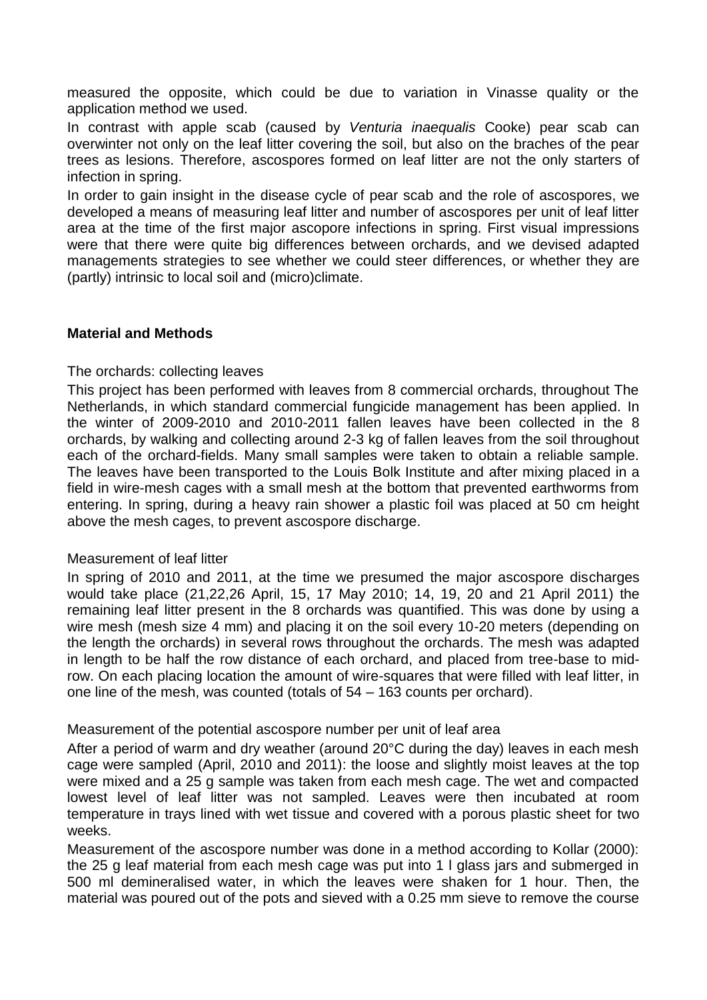measured the opposite, which could be due to variation in Vinasse quality or the application method we used.

In contrast with apple scab (caused by *Venturia inaequalis* Cooke) pear scab can overwinter not only on the leaf litter covering the soil, but also on the braches of the pear trees as lesions. Therefore, ascospores formed on leaf litter are not the only starters of infection in spring.

In order to gain insight in the disease cycle of pear scab and the role of ascospores, we developed a means of measuring leaf litter and number of ascospores per unit of leaf litter area at the time of the first major ascopore infections in spring. First visual impressions were that there were quite big differences between orchards, and we devised adapted managements strategies to see whether we could steer differences, or whether they are (partly) intrinsic to local soil and (micro)climate.

# **Material and Methods**

# The orchards: collecting leaves

This project has been performed with leaves from 8 commercial orchards, throughout The Netherlands, in which standard commercial fungicide management has been applied. In the winter of 2009-2010 and 2010-2011 fallen leaves have been collected in the 8 orchards, by walking and collecting around 2-3 kg of fallen leaves from the soil throughout each of the orchard-fields. Many small samples were taken to obtain a reliable sample. The leaves have been transported to the Louis Bolk Institute and after mixing placed in a field in wire-mesh cages with a small mesh at the bottom that prevented earthworms from entering. In spring, during a heavy rain shower a plastic foil was placed at 50 cm height above the mesh cages, to prevent ascospore discharge.

# Measurement of leaf litter

In spring of 2010 and 2011, at the time we presumed the major ascospore discharges would take place (21,22,26 April, 15, 17 May 2010; 14, 19, 20 and 21 April 2011) the remaining leaf litter present in the 8 orchards was quantified. This was done by using a wire mesh (mesh size 4 mm) and placing it on the soil every 10-20 meters (depending on the length the orchards) in several rows throughout the orchards. The mesh was adapted in length to be half the row distance of each orchard, and placed from tree-base to midrow. On each placing location the amount of wire-squares that were filled with leaf litter, in one line of the mesh, was counted (totals of 54 – 163 counts per orchard).

# Measurement of the potential ascospore number per unit of leaf area

After a period of warm and dry weather (around 20°C during the day) leaves in each mesh cage were sampled (April, 2010 and 2011): the loose and slightly moist leaves at the top were mixed and a 25 g sample was taken from each mesh cage. The wet and compacted lowest level of leaf litter was not sampled. Leaves were then incubated at room temperature in trays lined with wet tissue and covered with a porous plastic sheet for two weeks.

Measurement of the ascospore number was done in a method according to Kollar (2000): the 25 g leaf material from each mesh cage was put into 1 l glass jars and submerged in 500 ml demineralised water, in which the leaves were shaken for 1 hour. Then, the material was poured out of the pots and sieved with a 0.25 mm sieve to remove the course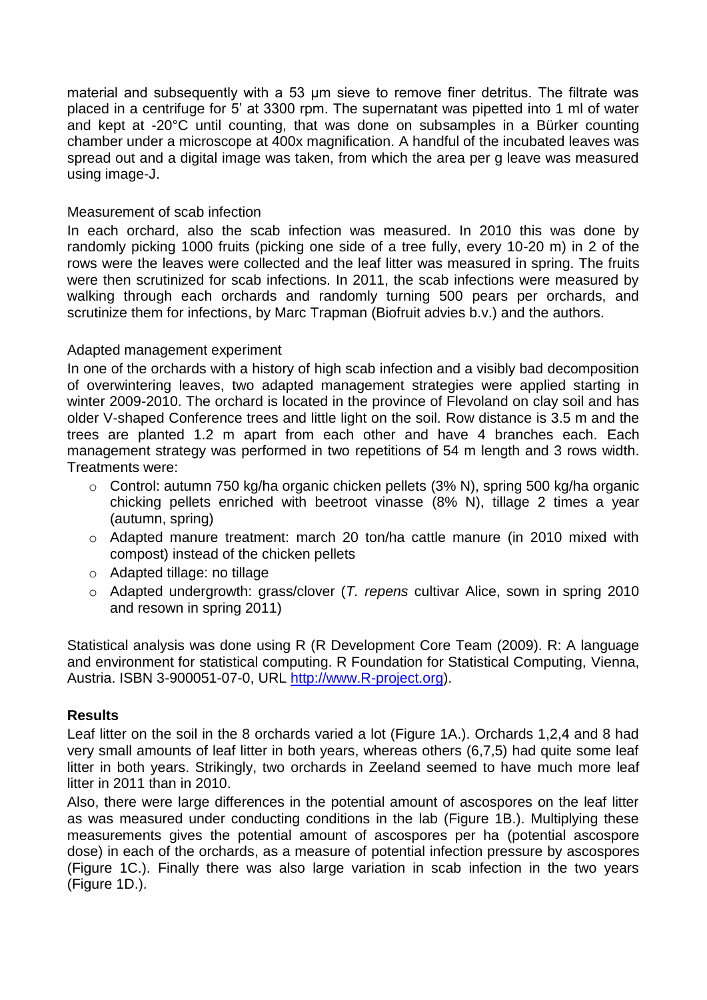material and subsequently with a 53 μm sieve to remove finer detritus. The filtrate was placed in a centrifuge for 5' at 3300 rpm. The supernatant was pipetted into 1 ml of water and kept at -20°C until counting, that was done on subsamples in a Bürker counting chamber under a microscope at 400x magnification. A handful of the incubated leaves was spread out and a digital image was taken, from which the area per g leave was measured using image-J.

# Measurement of scab infection

In each orchard, also the scab infection was measured. In 2010 this was done by randomly picking 1000 fruits (picking one side of a tree fully, every 10-20 m) in 2 of the rows were the leaves were collected and the leaf litter was measured in spring. The fruits were then scrutinized for scab infections. In 2011, the scab infections were measured by walking through each orchards and randomly turning 500 pears per orchards, and scrutinize them for infections, by Marc Trapman (Biofruit advies b.v.) and the authors.

# Adapted management experiment

In one of the orchards with a history of high scab infection and a visibly bad decomposition of overwintering leaves, two adapted management strategies were applied starting in winter 2009-2010. The orchard is located in the province of Flevoland on clay soil and has older V-shaped Conference trees and little light on the soil. Row distance is 3.5 m and the trees are planted 1.2 m apart from each other and have 4 branches each. Each management strategy was performed in two repetitions of 54 m length and 3 rows width. Treatments were:

- o Control: autumn 750 kg/ha organic chicken pellets (3% N), spring 500 kg/ha organic chicking pellets enriched with beetroot vinasse (8% N), tillage 2 times a year (autumn, spring)
- o Adapted manure treatment: march 20 ton/ha cattle manure (in 2010 mixed with compost) instead of the chicken pellets
- o Adapted tillage: no tillage
- o Adapted undergrowth: grass/clover (*T. repens* cultivar Alice, sown in spring 2010 and resown in spring 2011)

Statistical analysis was done using R (R Development Core Team (2009). R: A language and environment for statistical computing. R Foundation for Statistical Computing, Vienna, Austria. ISBN 3-900051-07-0, URL [http://www.R-project.org\)](http://www.r-project.org/).

# **Results**

Leaf litter on the soil in the 8 orchards varied a lot (Figure 1A.). Orchards 1,2,4 and 8 had very small amounts of leaf litter in both years, whereas others (6,7,5) had quite some leaf litter in both years. Strikingly, two orchards in Zeeland seemed to have much more leaf litter in 2011 than in 2010.

Also, there were large differences in the potential amount of ascospores on the leaf litter as was measured under conducting conditions in the lab (Figure 1B.). Multiplying these measurements gives the potential amount of ascospores per ha (potential ascospore dose) in each of the orchards, as a measure of potential infection pressure by ascospores (Figure 1C.). Finally there was also large variation in scab infection in the two years (Figure 1D.).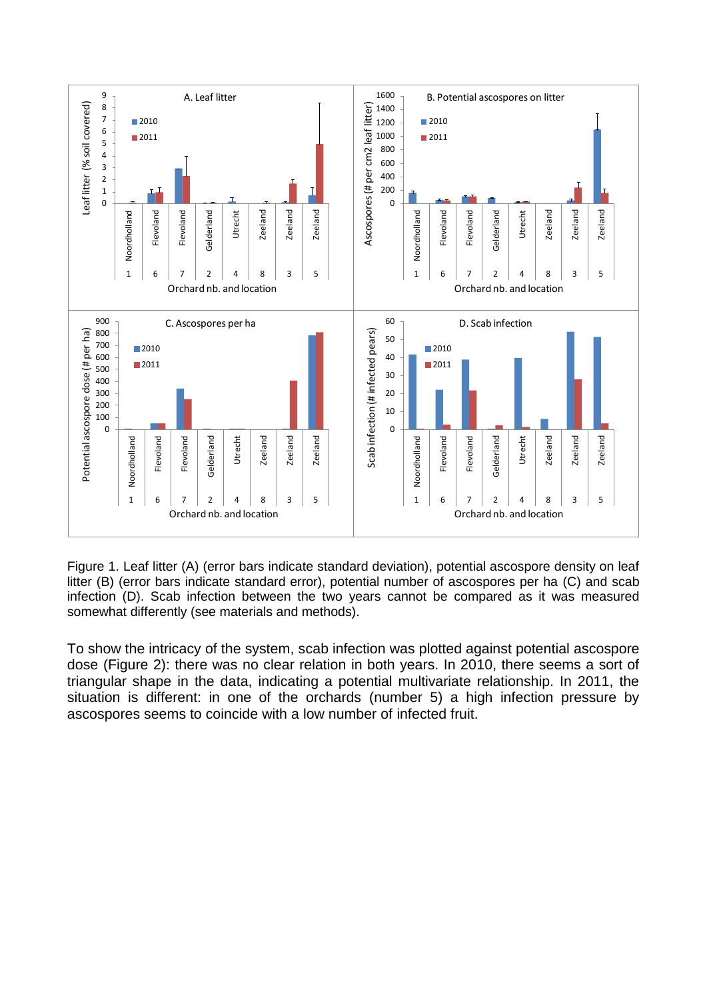

Figure 1. Leaf litter (A) (error bars indicate standard deviation), potential ascospore density on leaf litter (B) (error bars indicate standard error), potential number of ascospores per ha (C) and scab infection (D). Scab infection between the two years cannot be compared as it was measured somewhat differently (see materials and methods).

To show the intricacy of the system, scab infection was plotted against potential ascospore dose (Figure 2): there was no clear relation in both years. In 2010, there seems a sort of triangular shape in the data, indicating a potential multivariate relationship. In 2011, the situation is different: in one of the orchards (number 5) a high infection pressure by ascospores seems to coincide with a low number of infected fruit.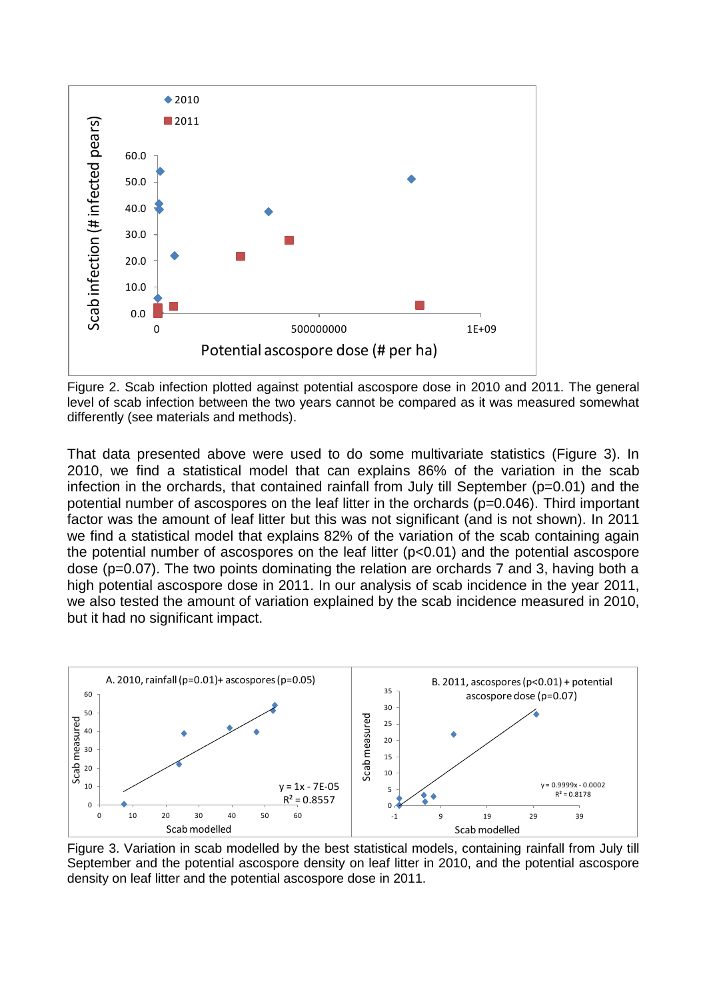

Figure 2. Scab infection plotted against potential ascospore dose in 2010 and 2011. The general level of scab infection between the two years cannot be compared as it was measured somewhat differently (see materials and methods).

That data presented above were used to do some multivariate statistics (Figure 3). In 2010, we find a statistical model that can explains 86% of the variation in the scab infection in the orchards, that contained rainfall from July till September (p=0.01) and the potential number of ascospores on the leaf litter in the orchards (p=0.046). Third important factor was the amount of leaf litter but this was not significant (and is not shown). In 2011 we find a statistical model that explains 82% of the variation of the scab containing again the potential number of ascospores on the leaf litter (p<0.01) and the potential ascospore dose (p=0.07). The two points dominating the relation are orchards 7 and 3, having both a high potential ascospore dose in 2011. In our analysis of scab incidence in the year 2011, we also tested the amount of variation explained by the scab incidence measured in 2010, but it had no significant impact.



Figure 3. Variation in scab modelled by the best statistical models, containing rainfall from July till September and the potential ascospore density on leaf litter in 2010, and the potential ascospore density on leaf litter and the potential ascospore dose in 2011.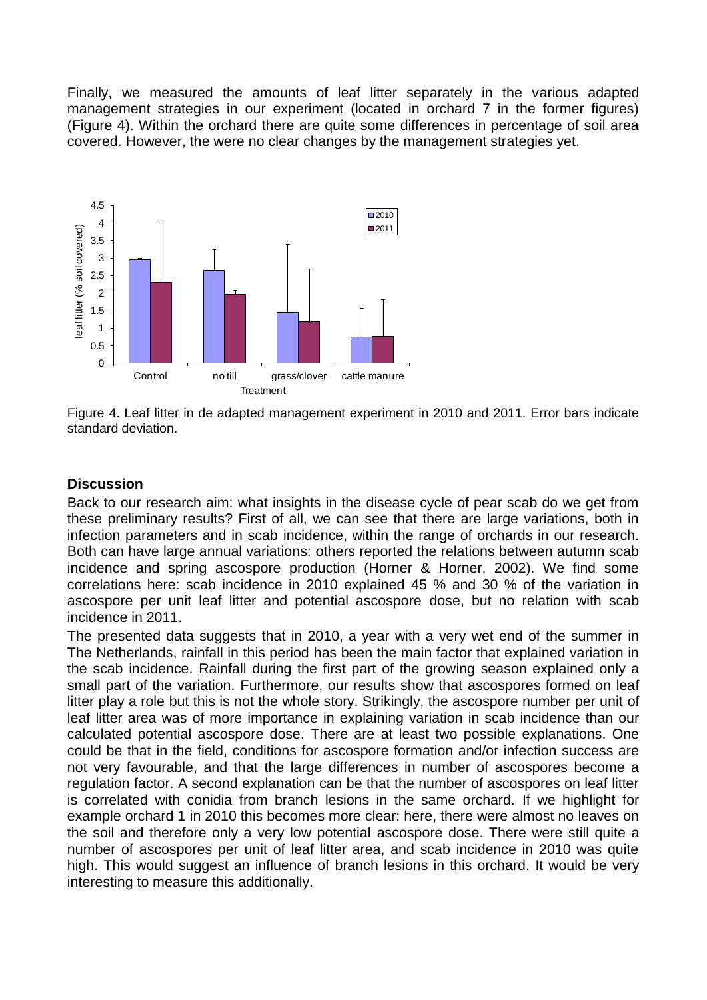Finally, we measured the amounts of leaf litter separately in the various adapted management strategies in our experiment (located in orchard 7 in the former figures) (Figure 4). Within the orchard there are quite some differences in percentage of soil area covered. However, the were no clear changes by the management strategies yet.



Figure 4. Leaf litter in de adapted management experiment in 2010 and 2011. Error bars indicate standard deviation.

#### **Discussion**

Back to our research aim: what insights in the disease cycle of pear scab do we get from these preliminary results? First of all, we can see that there are large variations, both in infection parameters and in scab incidence, within the range of orchards in our research. Both can have large annual variations: others reported the relations between autumn scab incidence and spring ascospore production (Horner & Horner, 2002). We find some correlations here: scab incidence in 2010 explained 45 % and 30 % of the variation in ascospore per unit leaf litter and potential ascospore dose, but no relation with scab incidence in 2011.

The presented data suggests that in 2010, a year with a very wet end of the summer in The Netherlands, rainfall in this period has been the main factor that explained variation in the scab incidence. Rainfall during the first part of the growing season explained only a small part of the variation. Furthermore, our results show that ascospores formed on leaf litter play a role but this is not the whole story. Strikingly, the ascospore number per unit of leaf litter area was of more importance in explaining variation in scab incidence than our calculated potential ascospore dose. There are at least two possible explanations. One could be that in the field, conditions for ascospore formation and/or infection success are not very favourable, and that the large differences in number of ascospores become a regulation factor. A second explanation can be that the number of ascospores on leaf litter is correlated with conidia from branch lesions in the same orchard. If we highlight for example orchard 1 in 2010 this becomes more clear: here, there were almost no leaves on the soil and therefore only a very low potential ascospore dose. There were still quite a number of ascospores per unit of leaf litter area, and scab incidence in 2010 was quite high. This would suggest an influence of branch lesions in this orchard. It would be very interesting to measure this additionally.